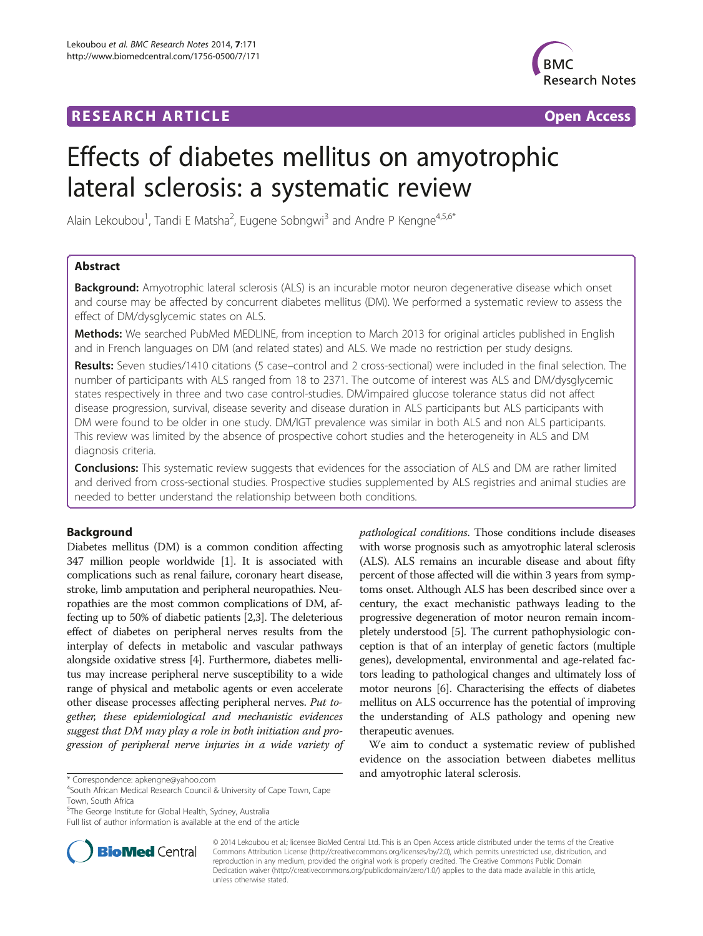## **RESEARCH ARTICLE Example 2014 CONSIDERING A RESEARCH ARTICLE**



# Effects of diabetes mellitus on amyotrophic lateral sclerosis: a systematic review

Alain Lekoubou<sup>1</sup>, Tandi E Matsha<sup>2</sup>, Eugene Sobngwi<sup>3</sup> and Andre P Kengne<sup>4,5,6\*</sup>

## Abstract

Background: Amyotrophic lateral sclerosis (ALS) is an incurable motor neuron degenerative disease which onset and course may be affected by concurrent diabetes mellitus (DM). We performed a systematic review to assess the effect of DM/dysglycemic states on ALS.

Methods: We searched PubMed MEDLINE, from inception to March 2013 for original articles published in English and in French languages on DM (and related states) and ALS. We made no restriction per study designs.

Results: Seven studies/1410 citations (5 case–control and 2 cross-sectional) were included in the final selection. The number of participants with ALS ranged from 18 to 2371. The outcome of interest was ALS and DM/dysglycemic states respectively in three and two case control-studies. DM/impaired glucose tolerance status did not affect disease progression, survival, disease severity and disease duration in ALS participants but ALS participants with DM were found to be older in one study. DM/IGT prevalence was similar in both ALS and non ALS participants. This review was limited by the absence of prospective cohort studies and the heterogeneity in ALS and DM diagnosis criteria.

**Conclusions:** This systematic review suggests that evidences for the association of ALS and DM are rather limited and derived from cross-sectional studies. Prospective studies supplemented by ALS registries and animal studies are needed to better understand the relationship between both conditions.

## Background

Diabetes mellitus (DM) is a common condition affecting 347 million people worldwide [\[1\]](#page-7-0). It is associated with complications such as renal failure, coronary heart disease, stroke, limb amputation and peripheral neuropathies. Neuropathies are the most common complications of DM, affecting up to 50% of diabetic patients [[2,3](#page-7-0)]. The deleterious effect of diabetes on peripheral nerves results from the interplay of defects in metabolic and vascular pathways alongside oxidative stress [[4](#page-7-0)]. Furthermore, diabetes mellitus may increase peripheral nerve susceptibility to a wide range of physical and metabolic agents or even accelerate other disease processes affecting peripheral nerves. Put together, these epidemiological and mechanistic evidences suggest that DM may play a role in both initiation and progression of peripheral nerve injuries in a wide variety of

5 The George Institute for Global Health, Sydney, Australia

Full list of author information is available at the end of the article



pathological conditions. Those conditions include diseases with worse prognosis such as amyotrophic lateral sclerosis (ALS). ALS remains an incurable disease and about fifty percent of those affected will die within 3 years from symptoms onset. Although ALS has been described since over a century, the exact mechanistic pathways leading to the progressive degeneration of motor neuron remain incompletely understood [\[5](#page-7-0)]. The current pathophysiologic conception is that of an interplay of genetic factors (multiple genes), developmental, environmental and age-related factors leading to pathological changes and ultimately loss of motor neurons [\[6\]](#page-7-0). Characterising the effects of diabetes mellitus on ALS occurrence has the potential of improving the understanding of ALS pathology and opening new therapeutic avenues.

We aim to conduct a systematic review of published evidence on the association between diabetes mellitus

© 2014 Lekoubou et al.; licensee BioMed Central Ltd. This is an Open Access article distributed under the terms of the Creative Commons Attribution License [\(http://creativecommons.org/licenses/by/2.0\)](http://creativecommons.org/licenses/by/2.0), which permits unrestricted use, distribution, and reproduction in any medium, provided the original work is properly credited. The Creative Commons Public Domain Dedication waiver [\(http://creativecommons.org/publicdomain/zero/1.0/](http://creativecommons.org/publicdomain/zero/1.0/)) applies to the data made available in this article, unless otherwise stated.

<sup>\*</sup> Correspondence: [apkengne@yahoo.com](mailto:apkengne@yahoo.com)<br><sup>4</sup>South African Medical Research Council & University of Cape Town, Cape Town, South Africa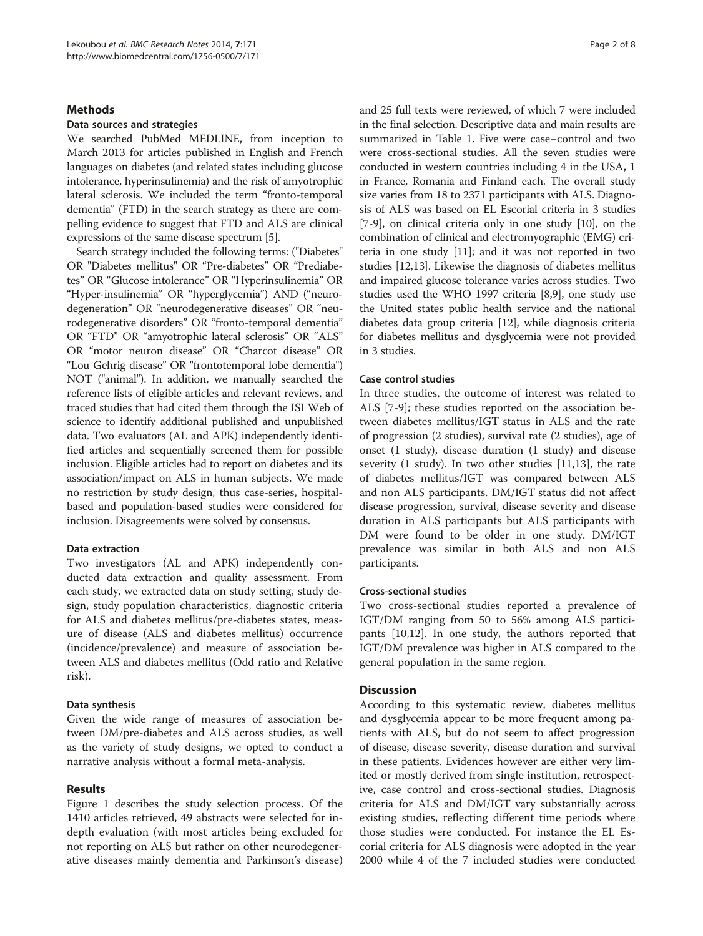## **Methods**

## Data sources and strategies

We searched PubMed MEDLINE, from inception to March 2013 for articles published in English and French languages on diabetes (and related states including glucose intolerance, hyperinsulinemia) and the risk of amyotrophic lateral sclerosis. We included the term "fronto-temporal dementia" (FTD) in the search strategy as there are compelling evidence to suggest that FTD and ALS are clinical expressions of the same disease spectrum [[5](#page-7-0)].

Search strategy included the following terms: ("Diabetes" OR "Diabetes mellitus" OR "Pre-diabetes" OR "Prediabetes" OR "Glucose intolerance" OR "Hyperinsulinemia" OR "Hyper-insulinemia" OR "hyperglycemia") AND ("neurodegeneration" OR "neurodegenerative diseases" OR "neurodegenerative disorders" OR "fronto-temporal dementia" OR "FTD" OR "amyotrophic lateral sclerosis" OR "ALS" OR "motor neuron disease" OR "Charcot disease" OR "Lou Gehrig disease" OR "frontotemporal lobe dementia") NOT ("animal"). In addition, we manually searched the reference lists of eligible articles and relevant reviews, and traced studies that had cited them through the ISI Web of science to identify additional published and unpublished data. Two evaluators (AL and APK) independently identified articles and sequentially screened them for possible inclusion. Eligible articles had to report on diabetes and its association/impact on ALS in human subjects. We made no restriction by study design, thus case-series, hospitalbased and population-based studies were considered for inclusion. Disagreements were solved by consensus.

## Data extraction

Two investigators (AL and APK) independently conducted data extraction and quality assessment. From each study, we extracted data on study setting, study design, study population characteristics, diagnostic criteria for ALS and diabetes mellitus/pre-diabetes states, measure of disease (ALS and diabetes mellitus) occurrence (incidence/prevalence) and measure of association between ALS and diabetes mellitus (Odd ratio and Relative risk).

## Data synthesis

Given the wide range of measures of association between DM/pre-diabetes and ALS across studies, as well as the variety of study designs, we opted to conduct a narrative analysis without a formal meta-analysis.

## Results

Figure [1](#page-2-0) describes the study selection process. Of the 1410 articles retrieved, 49 abstracts were selected for indepth evaluation (with most articles being excluded for not reporting on ALS but rather on other neurodegenerative diseases mainly dementia and Parkinson's disease) and 25 full texts were reviewed, of which 7 were included in the final selection. Descriptive data and main results are summarized in Table [1](#page-3-0). Five were case–control and two were cross-sectional studies. All the seven studies were conducted in western countries including 4 in the USA, 1 in France, Romania and Finland each. The overall study size varies from 18 to 2371 participants with ALS. Diagnosis of ALS was based on EL Escorial criteria in 3 studies [[7-9](#page-7-0)], on clinical criteria only in one study [\[10\]](#page-7-0), on the combination of clinical and electromyographic (EMG) criteria in one study [\[11\]](#page-7-0); and it was not reported in two studies [\[12,13\]](#page-7-0). Likewise the diagnosis of diabetes mellitus and impaired glucose tolerance varies across studies. Two studies used the WHO 1997 criteria [\[8,9\]](#page-7-0), one study use the United states public health service and the national diabetes data group criteria [\[12\]](#page-7-0), while diagnosis criteria for diabetes mellitus and dysglycemia were not provided in 3 studies.

## Case control studies

In three studies, the outcome of interest was related to ALS [\[7](#page-7-0)-[9](#page-7-0)]; these studies reported on the association between diabetes mellitus/IGT status in ALS and the rate of progression (2 studies), survival rate (2 studies), age of onset (1 study), disease duration (1 study) and disease severity (1 study). In two other studies [\[11,13\]](#page-7-0), the rate of diabetes mellitus/IGT was compared between ALS and non ALS participants. DM/IGT status did not affect disease progression, survival, disease severity and disease duration in ALS participants but ALS participants with DM were found to be older in one study. DM/IGT prevalence was similar in both ALS and non ALS participants.

#### Cross-sectional studies

Two cross-sectional studies reported a prevalence of IGT/DM ranging from 50 to 56% among ALS participants [[10,12\]](#page-7-0). In one study, the authors reported that IGT/DM prevalence was higher in ALS compared to the general population in the same region.

## **Discussion**

According to this systematic review, diabetes mellitus and dysglycemia appear to be more frequent among patients with ALS, but do not seem to affect progression of disease, disease severity, disease duration and survival in these patients. Evidences however are either very limited or mostly derived from single institution, retrospective, case control and cross-sectional studies. Diagnosis criteria for ALS and DM/IGT vary substantially across existing studies, reflecting different time periods where those studies were conducted. For instance the EL Escorial criteria for ALS diagnosis were adopted in the year 2000 while 4 of the 7 included studies were conducted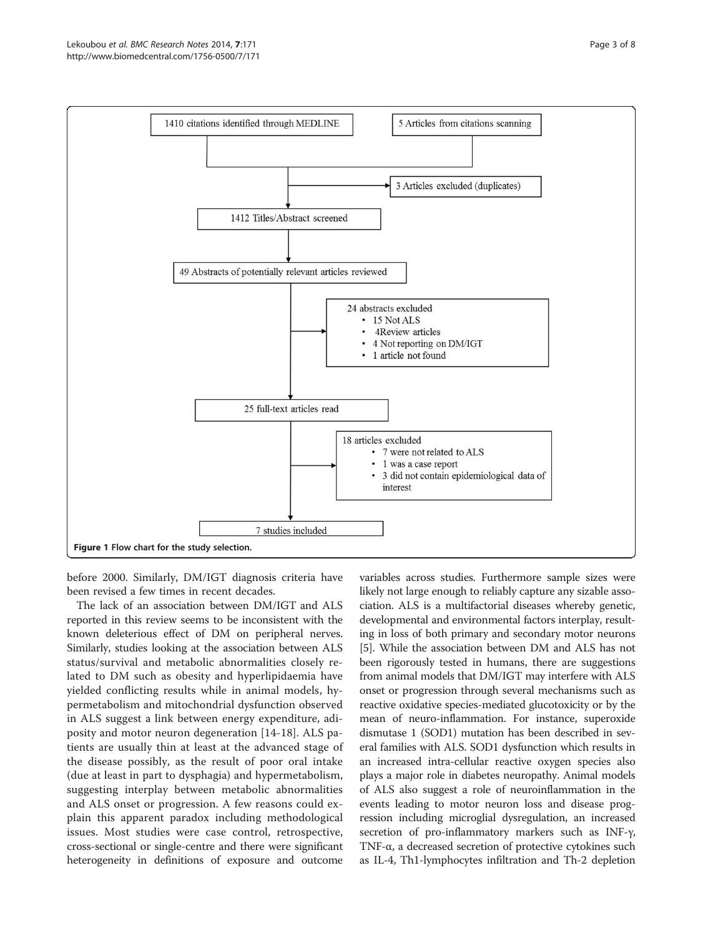<span id="page-2-0"></span>

before 2000. Similarly, DM/IGT diagnosis criteria have been revised a few times in recent decades.

The lack of an association between DM/IGT and ALS reported in this review seems to be inconsistent with the known deleterious effect of DM on peripheral nerves. Similarly, studies looking at the association between ALS status/survival and metabolic abnormalities closely related to DM such as obesity and hyperlipidaemia have yielded conflicting results while in animal models, hypermetabolism and mitochondrial dysfunction observed in ALS suggest a link between energy expenditure, adiposity and motor neuron degeneration [\[14](#page-7-0)-[18](#page-7-0)]. ALS patients are usually thin at least at the advanced stage of the disease possibly, as the result of poor oral intake (due at least in part to dysphagia) and hypermetabolism, suggesting interplay between metabolic abnormalities and ALS onset or progression. A few reasons could explain this apparent paradox including methodological issues. Most studies were case control, retrospective, cross-sectional or single-centre and there were significant heterogeneity in definitions of exposure and outcome

variables across studies. Furthermore sample sizes were likely not large enough to reliably capture any sizable association. ALS is a multifactorial diseases whereby genetic, developmental and environmental factors interplay, resulting in loss of both primary and secondary motor neurons [[5\]](#page-7-0). While the association between DM and ALS has not been rigorously tested in humans, there are suggestions from animal models that DM/IGT may interfere with ALS onset or progression through several mechanisms such as reactive oxidative species-mediated glucotoxicity or by the mean of neuro-inflammation. For instance, superoxide dismutase 1 (SOD1) mutation has been described in several families with ALS. SOD1 dysfunction which results in an increased intra-cellular reactive oxygen species also plays a major role in diabetes neuropathy. Animal models of ALS also suggest a role of neuroinflammation in the events leading to motor neuron loss and disease progression including microglial dysregulation, an increased secretion of pro-inflammatory markers such as INF-γ, TNF-α, a decreased secretion of protective cytokines such as IL-4, Th1-lymphocytes infiltration and Th-2 depletion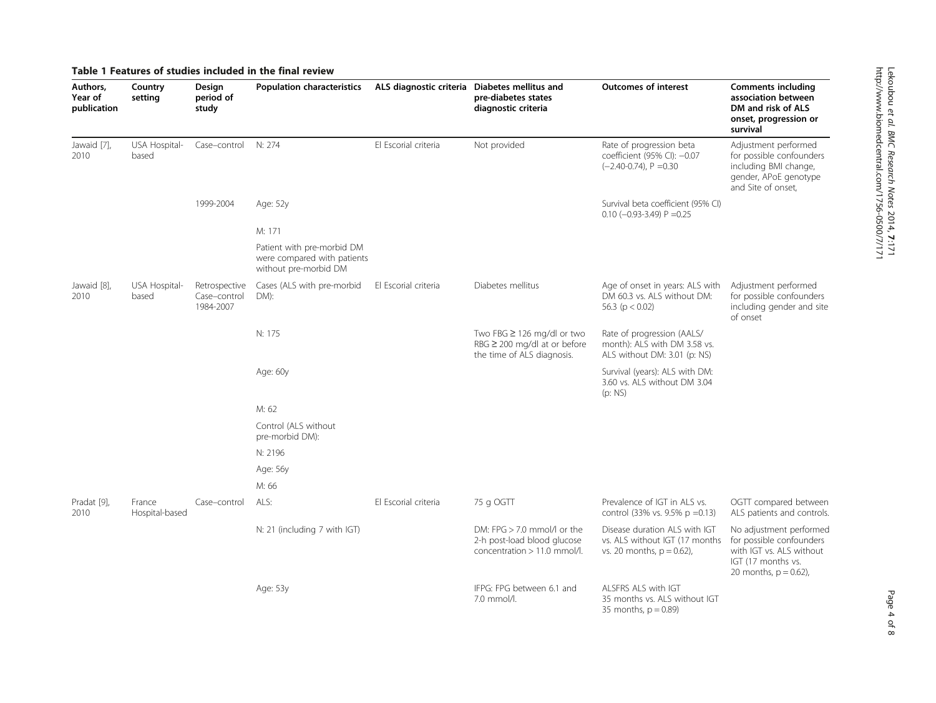| Authors,<br>Year of<br>publication | Country<br>setting       | Design<br>period of<br>study               | <b>Population characteristics</b>                                                  |                      | ALS diagnostic criteria Diabetes mellitus and<br>pre-diabetes states<br>diagnostic criteria   | <b>Outcomes of interest</b>                                                                     | <b>Comments including</b><br>association between<br>DM and risk of ALS<br>onset, progression or<br>survival                       |
|------------------------------------|--------------------------|--------------------------------------------|------------------------------------------------------------------------------------|----------------------|-----------------------------------------------------------------------------------------------|-------------------------------------------------------------------------------------------------|-----------------------------------------------------------------------------------------------------------------------------------|
| Jawaid [7],<br>2010                | USA Hospital-<br>based   | Case-control                               | N: 274                                                                             | El Escorial criteria | Not provided                                                                                  | Rate of progression beta<br>coefficient (95% CI): -0.07<br>$(-2.40 - 0.74)$ , P = 0.30          | Adjustment performed<br>for possible confounders<br>including BMI change,<br>gender, APoE genotype<br>and Site of onset,          |
|                                    |                          | 1999-2004                                  | Age: 52y                                                                           |                      |                                                                                               | Survival beta coefficient (95% CI)<br>$0.10$ (-0.93-3.49) P = 0.25                              |                                                                                                                                   |
|                                    |                          |                                            | M: 171                                                                             |                      |                                                                                               |                                                                                                 |                                                                                                                                   |
|                                    |                          |                                            | Patient with pre-morbid DM<br>were compared with patients<br>without pre-morbid DM |                      |                                                                                               |                                                                                                 |                                                                                                                                   |
| Jawaid [8],<br>2010                | USA Hospital-<br>based   | Retrospective<br>Case-control<br>1984-2007 | Cases (ALS with pre-morbid<br>DM):                                                 | El Escorial criteria | Diabetes mellitus                                                                             | Age of onset in years: ALS with<br>DM 60.3 vs. ALS without DM:<br>56.3 ( $p < 0.02$ )           | Adjustment performed<br>for possible confounders<br>including gender and site<br>of onset                                         |
|                                    |                          |                                            | N: 175                                                                             |                      | Two FBG ≥ 126 mg/dl or two<br>$RBG \geq 200$ mg/dl at or before<br>the time of ALS diagnosis. | Rate of progression (AALS/<br>month): ALS with DM 3.58 vs.<br>ALS without DM: 3.01 (p: NS)      |                                                                                                                                   |
|                                    |                          |                                            | Age: 60y                                                                           |                      |                                                                                               | Survival (years): ALS with DM:<br>3.60 vs. ALS without DM 3.04<br>(p: NS)                       |                                                                                                                                   |
|                                    |                          |                                            | M: 62                                                                              |                      |                                                                                               |                                                                                                 |                                                                                                                                   |
|                                    |                          |                                            | Control (ALS without<br>pre-morbid DM):                                            |                      |                                                                                               |                                                                                                 |                                                                                                                                   |
|                                    |                          |                                            | N: 2196                                                                            |                      |                                                                                               |                                                                                                 |                                                                                                                                   |
|                                    |                          |                                            | Age: 56y                                                                           |                      |                                                                                               |                                                                                                 |                                                                                                                                   |
|                                    |                          |                                            | M: 66                                                                              |                      |                                                                                               |                                                                                                 |                                                                                                                                   |
| Pradat [9],<br>2010                | France<br>Hospital-based | Case-control                               | ALS:                                                                               | El Escorial criteria | 75 g OGTT                                                                                     | Prevalence of IGT in ALS vs.<br>control (33% vs. 9.5% p = 0.13)                                 | OGTT compared between<br>ALS patients and controls.                                                                               |
|                                    |                          |                                            | N: 21 (including 7 with IGT)                                                       |                      | DM: FPG > 7.0 mmol/l or the<br>2-h post-load blood glucose<br>concentration > 11.0 mmol/l.    | Disease duration ALS with IGT<br>vs. ALS without IGT (17 months<br>vs. 20 months, $p = 0.62$ ), | No adjustment performed<br>for possible confounders<br>with IGT vs. ALS without<br>IGT (17 months vs.<br>20 months, $p = 0.62$ ), |
|                                    |                          |                                            | Age: 53y                                                                           |                      | IFPG: FPG between 6.1 and<br>7.0 mmol/l.                                                      | ALSFRS ALS with IGT<br>35 months vs. ALS without IGT<br>35 months, $p = 0.89$ )                 |                                                                                                                                   |

## <span id="page-3-0"></span>Table 1 Features of studies included in the final review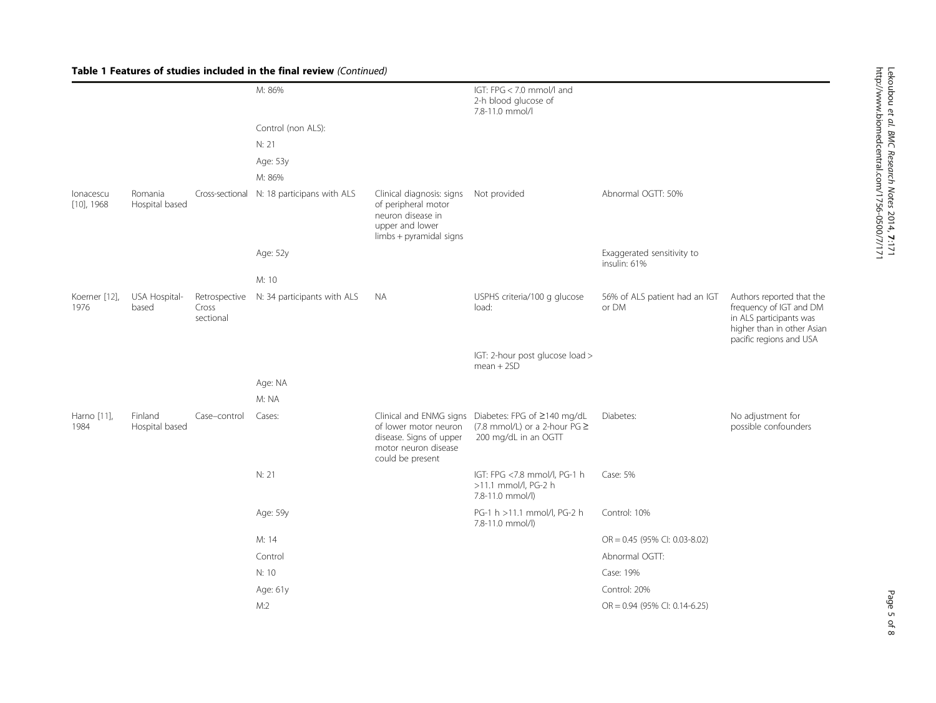## Table 1 Features of studies included in the final review (Continued)

|                            |                           |                    | M: 86%                                     |                                                                                                                                     | IGT: FPG < 7.0 mmol/l and<br>2-h blood glucose of<br>7.8-11.0 mmol/l                                               |                                            |                                                                                                                                          |
|----------------------------|---------------------------|--------------------|--------------------------------------------|-------------------------------------------------------------------------------------------------------------------------------------|--------------------------------------------------------------------------------------------------------------------|--------------------------------------------|------------------------------------------------------------------------------------------------------------------------------------------|
|                            |                           |                    | Control (non ALS):                         |                                                                                                                                     |                                                                                                                    |                                            |                                                                                                                                          |
|                            |                           |                    | N: 21                                      |                                                                                                                                     |                                                                                                                    |                                            |                                                                                                                                          |
|                            |                           |                    | Age: 53y                                   |                                                                                                                                     |                                                                                                                    |                                            |                                                                                                                                          |
|                            |                           |                    | M: 86%                                     |                                                                                                                                     |                                                                                                                    |                                            |                                                                                                                                          |
| lonacescu<br>$[10]$ , 1968 | Romania<br>Hospital based |                    | Cross-sectional N: 18 participans with ALS | Clinical diagnosis: signs    Not provided<br>of peripheral motor<br>neuron disease in<br>upper and lower<br>limbs + pyramidal signs |                                                                                                                    | Abnormal OGTT: 50%                         |                                                                                                                                          |
|                            |                           |                    | Age: 52y                                   |                                                                                                                                     |                                                                                                                    | Exaggerated sensitivity to<br>insulin: 61% |                                                                                                                                          |
|                            |                           |                    | M: 10                                      |                                                                                                                                     |                                                                                                                    |                                            |                                                                                                                                          |
| Koerner [12],<br>1976      | USA Hospital-<br>based    | Cross<br>sectional | Retrospective N: 34 participants with ALS  | NA.                                                                                                                                 | USPHS criteria/100 g glucose<br>load:                                                                              | 56% of ALS patient had an IGT<br>or DM     | Authors reported that the<br>frequency of IGT and DM<br>in ALS participants was<br>higher than in other Asian<br>pacific regions and USA |
|                            |                           |                    |                                            |                                                                                                                                     | IGT: 2-hour post glucose load ><br>$mean + 2SD$                                                                    |                                            |                                                                                                                                          |
|                            |                           |                    | Age: NA                                    |                                                                                                                                     |                                                                                                                    |                                            |                                                                                                                                          |
|                            |                           |                    | M: NA                                      |                                                                                                                                     |                                                                                                                    |                                            |                                                                                                                                          |
| Harno [11],<br>1984        | Finland<br>Hospital based | Case-control       | Cases:                                     | of lower motor neuron<br>disease. Signs of upper<br>motor neuron disease<br>could be present                                        | Clinical and ENMG signs  Diabetes: FPG of ≥140 mg/dL<br>(7.8 mmol/L) or a 2-hour $PG \geq$<br>200 mg/dL in an OGTT | Diabetes:                                  | No adjustment for<br>possible confounders                                                                                                |
|                            |                           |                    | N: 21                                      |                                                                                                                                     | IGT: FPG <7.8 mmol/l, PG-1 h<br>>11.1 mmol/l, PG-2 h<br>7.8-11.0 mmol/l)                                           | Case: 5%                                   |                                                                                                                                          |
|                            |                           |                    | Age: 59y                                   |                                                                                                                                     | PG-1 h >11.1 mmol/l, PG-2 h<br>7.8-11.0 mmol/l)                                                                    | Control: 10%                               |                                                                                                                                          |
|                            |                           |                    | M: 14                                      |                                                                                                                                     |                                                                                                                    | $OR = 0.45$ (95% CI: 0.03-8.02)            |                                                                                                                                          |
|                            |                           |                    | Control                                    |                                                                                                                                     |                                                                                                                    | Abnormal OGTT:                             |                                                                                                                                          |
|                            |                           |                    | N: 10                                      |                                                                                                                                     |                                                                                                                    | Case: 19%                                  |                                                                                                                                          |
|                            |                           |                    | Age: 61y                                   |                                                                                                                                     |                                                                                                                    | Control: 20%                               |                                                                                                                                          |
|                            |                           |                    | M:2                                        |                                                                                                                                     |                                                                                                                    | $OR = 0.94$ (95% CI: 0.14-6.25)            |                                                                                                                                          |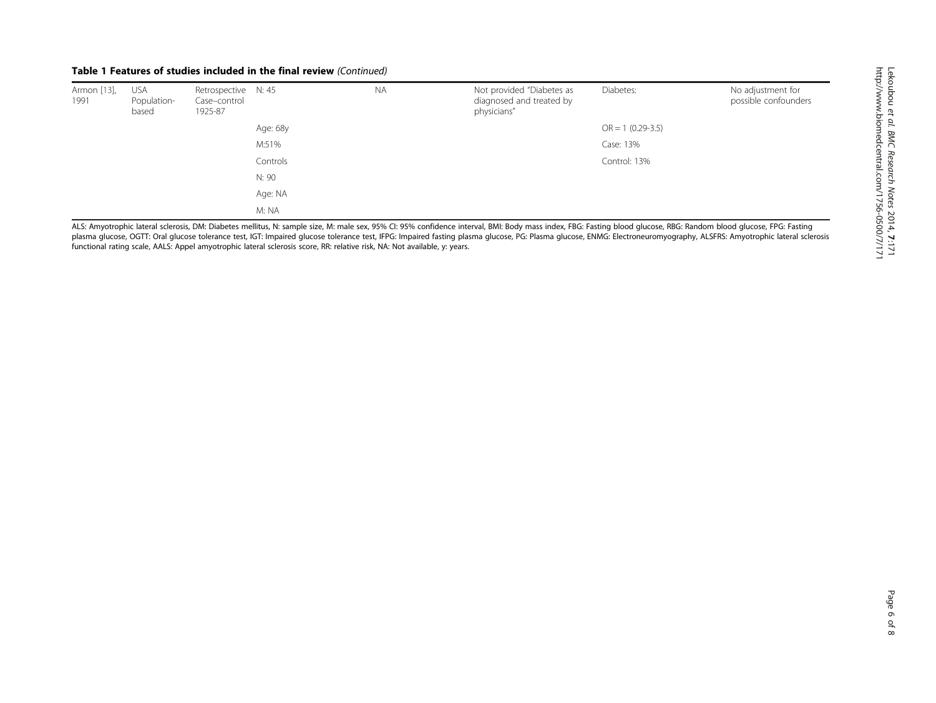## Table 1 Features of studies included in the final review (Continued)

| Armon [13],<br>1991 | <b>USA</b><br>Population-<br>based | Retrospective N: 45<br>Case-control<br>1925-87 |          | <b>NA</b> | Not provided "Diabetes as<br>diagnosed and treated by<br>physicians" | Diabetes:           | No adjustment for<br>possible confounders |
|---------------------|------------------------------------|------------------------------------------------|----------|-----------|----------------------------------------------------------------------|---------------------|-------------------------------------------|
|                     |                                    |                                                | Age: 68y |           |                                                                      | $OR = 1 (0.29-3.5)$ |                                           |
|                     |                                    |                                                | M:51%    |           |                                                                      | Case: 13%           |                                           |
|                     |                                    |                                                | Controls |           |                                                                      | Control: 13%        |                                           |
|                     |                                    |                                                | N: 90    |           |                                                                      |                     |                                           |
|                     |                                    |                                                | Age: NA  |           |                                                                      |                     |                                           |
|                     |                                    |                                                | M: NA    |           |                                                                      |                     |                                           |

ALS: Amyotrophic lateral sclerosis, DM: Diabetes mellitus, N: sample size, M: male sex, 95% CI: 95% confidence interval, BMI: Body mass index, FBG: Fasting blood glucose, RBG: Random blood glucose, FPG: Fasting plasma glucose, OGTT: Oral glucose tolerance test, IGT: Impaired glucose tolerance test, IFPG: Impaired fasting plasma glucose, PG: Plasma glucose, ENMG: Electroneuromyography, ALSFRS: Amyotrophic lateral sclerosis functional rating scale, AALS: Appel amyotrophic lateral sclerosis score, RR: relative risk, NA: Not available, y: years.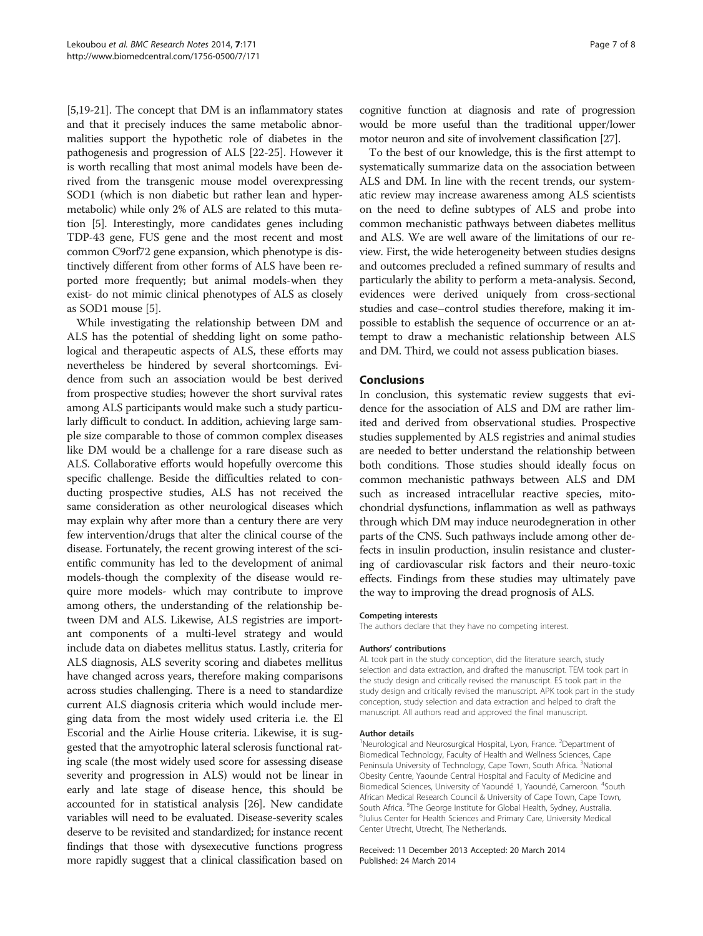[[5,19](#page-7-0)-[21](#page-7-0)]. The concept that DM is an inflammatory states and that it precisely induces the same metabolic abnormalities support the hypothetic role of diabetes in the pathogenesis and progression of ALS [\[22-25\]](#page-7-0). However it is worth recalling that most animal models have been derived from the transgenic mouse model overexpressing SOD1 (which is non diabetic but rather lean and hypermetabolic) while only 2% of ALS are related to this mutation [[5\]](#page-7-0). Interestingly, more candidates genes including TDP-43 gene, FUS gene and the most recent and most common C9orf72 gene expansion, which phenotype is distinctively different from other forms of ALS have been reported more frequently; but animal models-when they exist- do not mimic clinical phenotypes of ALS as closely as SOD1 mouse [\[5](#page-7-0)].

While investigating the relationship between DM and ALS has the potential of shedding light on some pathological and therapeutic aspects of ALS, these efforts may nevertheless be hindered by several shortcomings. Evidence from such an association would be best derived from prospective studies; however the short survival rates among ALS participants would make such a study particularly difficult to conduct. In addition, achieving large sample size comparable to those of common complex diseases like DM would be a challenge for a rare disease such as ALS. Collaborative efforts would hopefully overcome this specific challenge. Beside the difficulties related to conducting prospective studies, ALS has not received the same consideration as other neurological diseases which may explain why after more than a century there are very few intervention/drugs that alter the clinical course of the disease. Fortunately, the recent growing interest of the scientific community has led to the development of animal models-though the complexity of the disease would require more models- which may contribute to improve among others, the understanding of the relationship between DM and ALS. Likewise, ALS registries are important components of a multi-level strategy and would include data on diabetes mellitus status. Lastly, criteria for ALS diagnosis, ALS severity scoring and diabetes mellitus have changed across years, therefore making comparisons across studies challenging. There is a need to standardize current ALS diagnosis criteria which would include merging data from the most widely used criteria i.e. the El Escorial and the Airlie House criteria. Likewise, it is suggested that the amyotrophic lateral sclerosis functional rating scale (the most widely used score for assessing disease severity and progression in ALS) would not be linear in early and late stage of disease hence, this should be accounted for in statistical analysis [\[26\]](#page-7-0). New candidate variables will need to be evaluated. Disease-severity scales deserve to be revisited and standardized; for instance recent findings that those with dysexecutive functions progress more rapidly suggest that a clinical classification based on cognitive function at diagnosis and rate of progression would be more useful than the traditional upper/lower motor neuron and site of involvement classification [\[27\]](#page-7-0).

To the best of our knowledge, this is the first attempt to systematically summarize data on the association between ALS and DM. In line with the recent trends, our systematic review may increase awareness among ALS scientists on the need to define subtypes of ALS and probe into common mechanistic pathways between diabetes mellitus and ALS. We are well aware of the limitations of our review. First, the wide heterogeneity between studies designs and outcomes precluded a refined summary of results and particularly the ability to perform a meta-analysis. Second, evidences were derived uniquely from cross-sectional studies and case–control studies therefore, making it impossible to establish the sequence of occurrence or an attempt to draw a mechanistic relationship between ALS and DM. Third, we could not assess publication biases.

## Conclusions

In conclusion, this systematic review suggests that evidence for the association of ALS and DM are rather limited and derived from observational studies. Prospective studies supplemented by ALS registries and animal studies are needed to better understand the relationship between both conditions. Those studies should ideally focus on common mechanistic pathways between ALS and DM such as increased intracellular reactive species, mitochondrial dysfunctions, inflammation as well as pathways through which DM may induce neurodegneration in other parts of the CNS. Such pathways include among other defects in insulin production, insulin resistance and clustering of cardiovascular risk factors and their neuro-toxic effects. Findings from these studies may ultimately pave the way to improving the dread prognosis of ALS.

#### Competing interests

The authors declare that they have no competing interest.

#### Authors' contributions

AL took part in the study conception, did the literature search, study selection and data extraction, and drafted the manuscript. TEM took part in the study design and critically revised the manuscript. ES took part in the study design and critically revised the manuscript. APK took part in the study conception, study selection and data extraction and helped to draft the manuscript. All authors read and approved the final manuscript.

#### Author details

<sup>1</sup>Neurological and Neurosurgical Hospital, Lyon, France. <sup>2</sup>Department of Biomedical Technology, Faculty of Health and Wellness Sciences, Cape Peninsula University of Technology, Cape Town, South Africa. <sup>3</sup>National Obesity Centre, Yaounde Central Hospital and Faculty of Medicine and Biomedical Sciences, University of Yaoundé 1, Yaoundé, Cameroon. <sup>4</sup>South African Medical Research Council & University of Cape Town, Cape Town, South Africa. <sup>5</sup>The George Institute for Global Health, Sydney, Australia.<br><sup>6</sup> Julius Center for Health Sciences and Primary Care, University Medical <sup>6</sup>Julius Center for Health Sciences and Primary Care, University Medical Center Utrecht, Utrecht, The Netherlands.

#### Received: 11 December 2013 Accepted: 20 March 2014 Published: 24 March 2014